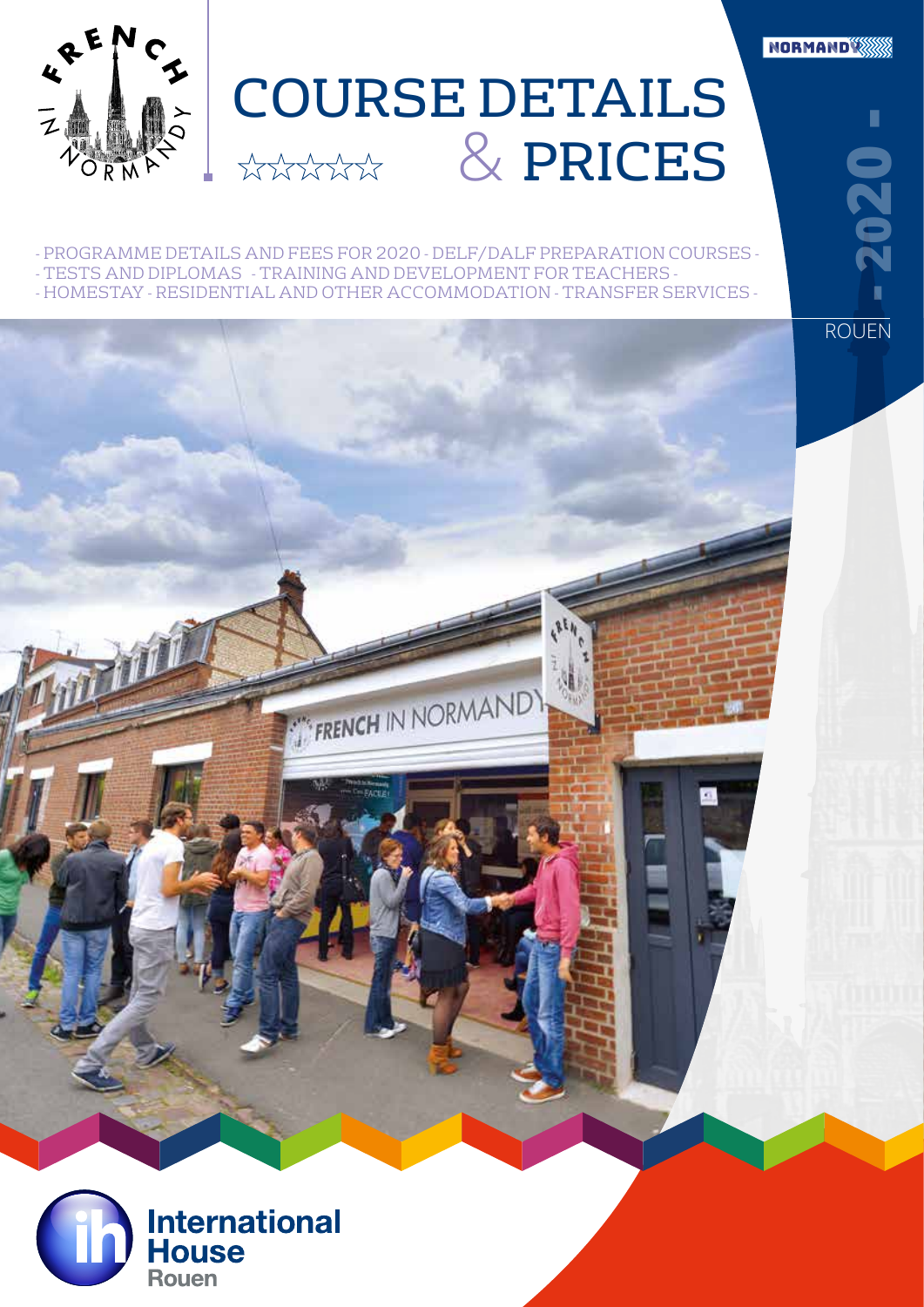

- PROGRAMME DETAILS AND FEES FOR 2020 - DELF/DALF PREPARATION COURSES - - TESTS AND DIPLOMAS - TRAINING AND DEVELOPMENT FOR TEACHERS - - HOMESTAY - RESIDENTIAL AND OTHER ACCOMMODATION - TRANSFER SERVICES -

FRENCH IN NORMAND

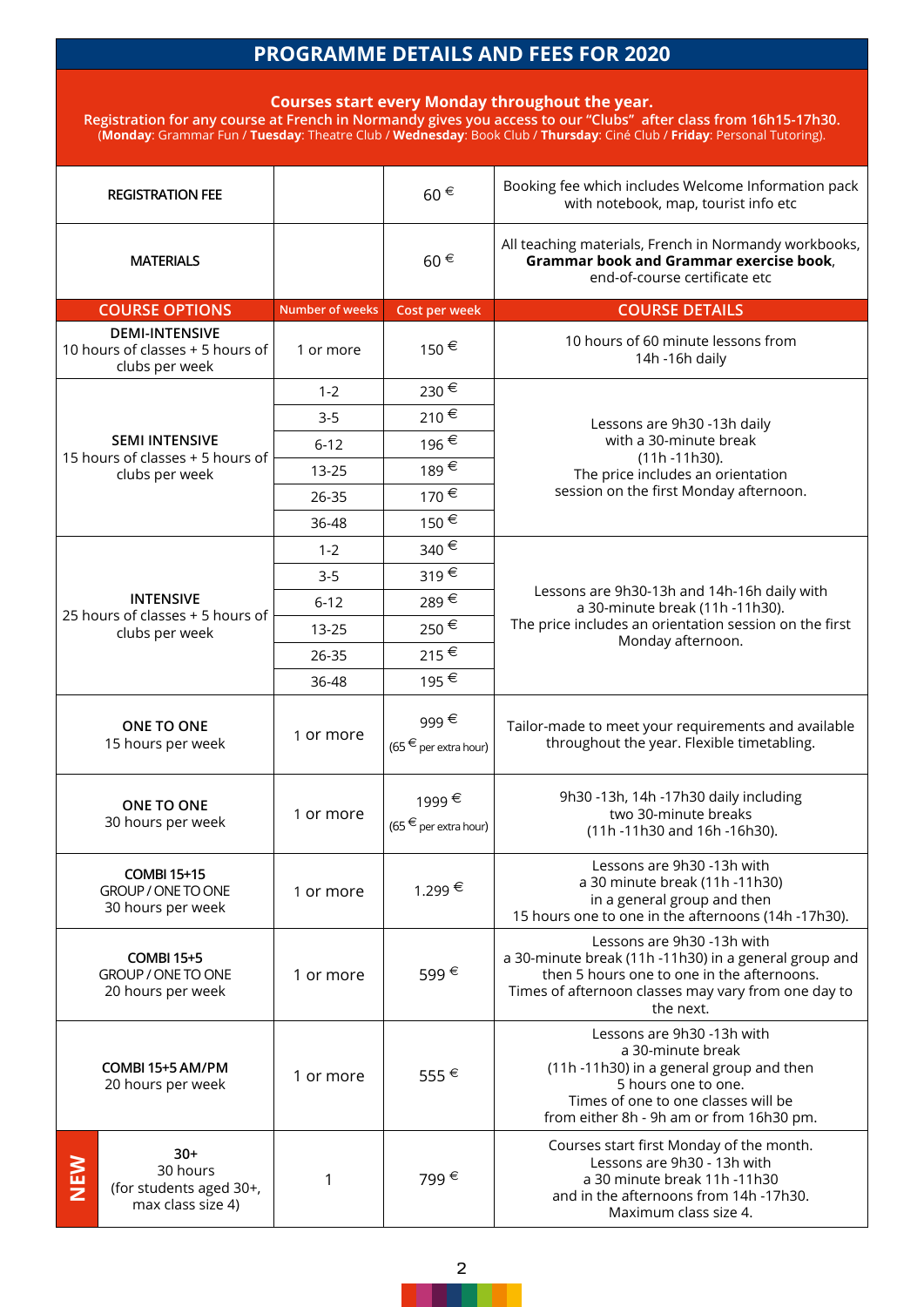## **PROGRAMME DETAILS AND FEES FOR 2020**

## **Courses start every Monday throughout the year.**

**Registration for any course at French in Normandy gives you access to our ''Clubs'' after class from 16h15-17h30.**  (**Monday**: Grammar Fun / **Tuesday**: Theatre Club / **Wednesday**: Book Club / **Thursday**: Ciné Club / **Friday**: Personal Tutoring).

| <b>REGISTRATION FEE</b>                                                     |           | $60 \in$                           | Booking fee which includes Welcome Information pack<br>with notebook, map, tourist info etc                                                                                                           |
|-----------------------------------------------------------------------------|-----------|------------------------------------|-------------------------------------------------------------------------------------------------------------------------------------------------------------------------------------------------------|
| <b>MATERIALS</b>                                                            |           | $60 \in$                           | All teaching materials, French in Normandy workbooks,<br>Grammar book and Grammar exercise book,<br>end-of-course certificate etc                                                                     |
| <b>COURSE OPTIONS</b><br><b>Number of weeks</b>                             |           | Cost per week                      | <b>COURSE DETAILS</b>                                                                                                                                                                                 |
| <b>DEMI-INTENSIVE</b><br>10 hours of classes + 5 hours of<br>clubs per week | 1 or more | 150€                               | 10 hours of 60 minute lessons from<br>14h -16h daily                                                                                                                                                  |
|                                                                             | $1 - 2$   | 230€                               |                                                                                                                                                                                                       |
|                                                                             | $3-5$     | 210€                               | Lessons are 9h30 -13h daily                                                                                                                                                                           |
| <b>SEMI INTENSIVE</b>                                                       | $6 - 12$  | 196€                               | with a 30-minute break                                                                                                                                                                                |
| 15 hours of classes + 5 hours of<br>clubs per week                          | 13-25     | 189€                               | $(11h - 11h30)$ .<br>The price includes an orientation                                                                                                                                                |
|                                                                             | 26-35     | 170€                               | session on the first Monday afternoon.                                                                                                                                                                |
|                                                                             | 36-48     | 150€                               |                                                                                                                                                                                                       |
|                                                                             | $1 - 2$   | 340€                               |                                                                                                                                                                                                       |
|                                                                             | $3-5$     | $319 \in$                          |                                                                                                                                                                                                       |
| <b>INTENSIVE</b>                                                            | $6 - 12$  | 289€                               | Lessons are 9h30-13h and 14h-16h daily with<br>a 30-minute break (11h -11h30).                                                                                                                        |
| 25 hours of classes + 5 hours of<br>clubs per week                          | $13 - 25$ | 250€                               | The price includes an orientation session on the first                                                                                                                                                |
|                                                                             | 26-35     | 215€                               | Monday afternoon.                                                                                                                                                                                     |
|                                                                             | 36-48     | 195€                               |                                                                                                                                                                                                       |
| ONE TO ONE<br>1 or more<br>15 hours per week                                |           | 999€<br>(65 $€$ per extra hour)    | Tailor-made to meet your requirements and available<br>throughout the year. Flexible timetabling.                                                                                                     |
| <b>ONE TO ONE</b><br>1 or more<br>30 hours per week                         |           | 1999€<br>$(65 \n∈$ per extra hour) | 9h30 -13h, 14h -17h30 daily including<br>two 30-minute breaks<br>(11h-11h30 and 16h-16h30).                                                                                                           |
| <b>COMBI 15+15</b><br>GROUP / ONE TO ONE<br>1 or more<br>30 hours per week  |           | 1.299€                             | Lessons are 9h30 -13h with<br>a 30 minute break (11h -11h30)<br>in a general group and then<br>15 hours one to one in the afternoons (14h -17h30).                                                    |
| <b>COMBI 15+5</b><br>GROUP / ONE TO ONE<br>20 hours per week                | 1 or more | 599€                               | Lessons are 9h30 -13h with<br>a 30-minute break (11h -11h30) in a general group and<br>then 5 hours one to one in the afternoons.<br>Times of afternoon classes may vary from one day to<br>the next. |
| COMBI 15+5 AM/PM<br>1 or more<br>20 hours per week                          |           | 555€                               | Lessons are 9h30 -13h with<br>a 30-minute break<br>(11h-11h30) in a general group and then<br>5 hours one to one.<br>Times of one to one classes will be<br>from either 8h - 9h am or from 16h30 pm.  |
| $30+$<br>NEN<br>30 hours<br>(for students aged 30+,<br>max class size 4)    |           | 799€                               | Courses start first Monday of the month.<br>Lessons are 9h30 - 13h with<br>a 30 minute break 11h -11h30<br>and in the afternoons from 14h -17h30.<br>Maximum class size 4.                            |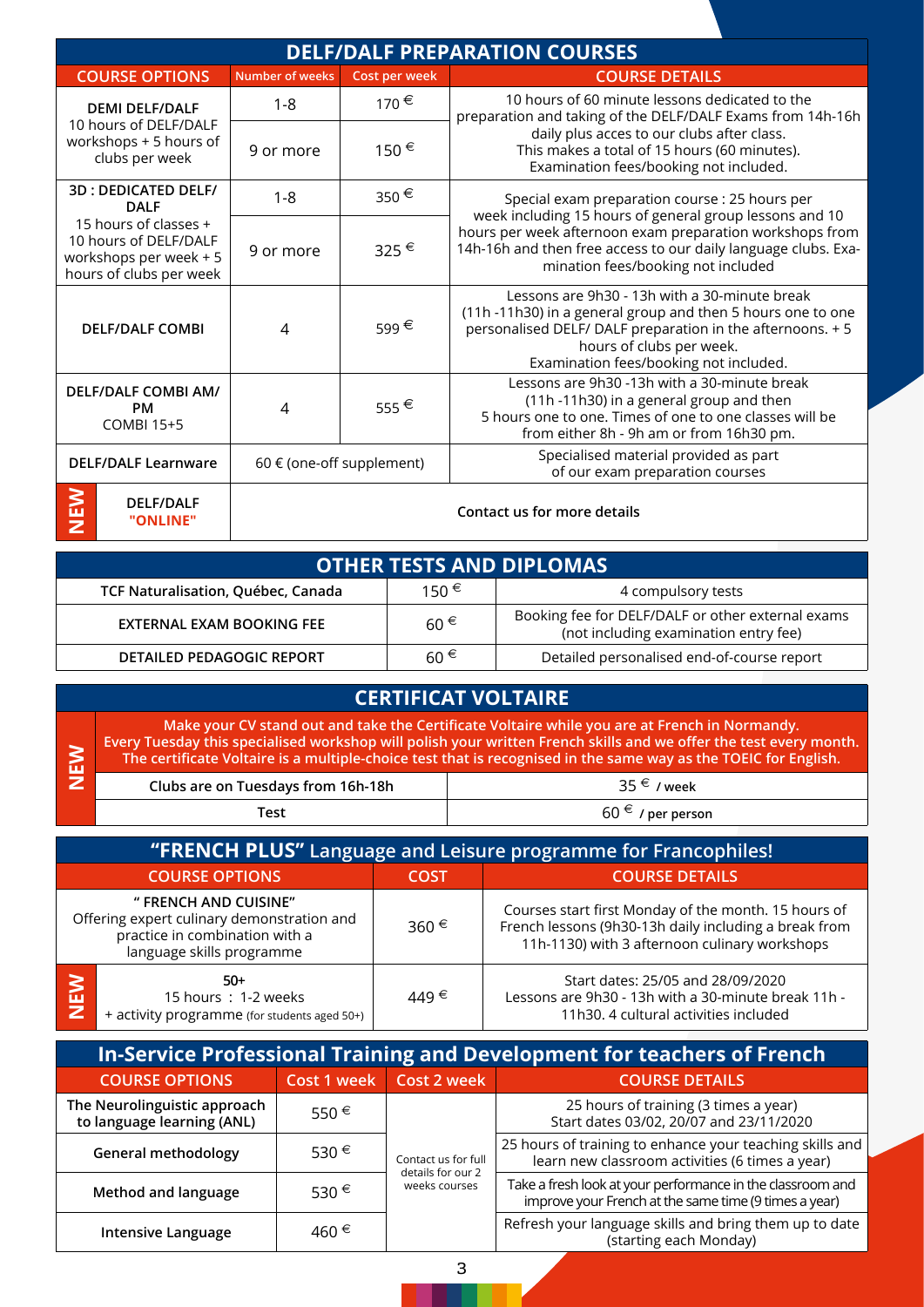| <b>DELF/DALF PREPARATION COURSES</b>                                                                |                           |                |                                                                                                                                                                                                                                                 |  |
|-----------------------------------------------------------------------------------------------------|---------------------------|----------------|-------------------------------------------------------------------------------------------------------------------------------------------------------------------------------------------------------------------------------------------------|--|
| <b>COURSE OPTIONS</b>                                                                               | <b>Number of weeks</b>    | Cost per week  | <b>COURSE DETAILS</b>                                                                                                                                                                                                                           |  |
| <b>DEMI DELF/DALF</b><br>10 hours of DELF/DALF<br>workshops + 5 hours of<br>clubs per week          | $1 - 8$                   | 170€           | 10 hours of 60 minute lessons dedicated to the<br>preparation and taking of the DELF/DALF Exams from 14h-16h                                                                                                                                    |  |
|                                                                                                     | 9 or more                 | 150€           | daily plus acces to our clubs after class.<br>This makes a total of 15 hours (60 minutes).<br>Examination fees/booking not included.                                                                                                            |  |
| <b>3D: DEDICATED DELF/</b><br><b>DALF</b>                                                           | $1 - 8$                   | 350 $\epsilon$ | Special exam preparation course : 25 hours per                                                                                                                                                                                                  |  |
| 15 hours of classes +<br>10 hours of DELF/DALF<br>workshops per week + 5<br>hours of clubs per week | 9 or more                 | 325€           | week including 15 hours of general group lessons and 10<br>hours per week afternoon exam preparation workshops from<br>14h-16h and then free access to our daily language clubs. Exa-<br>mination fees/booking not included                     |  |
| <b>DELF/DALF COMBI</b>                                                                              | 4                         | 599€           | Lessons are 9h30 - 13h with a 30-minute break<br>(11h-11h30) in a general group and then 5 hours one to one<br>personalised DELF/ DALF preparation in the afternoons. + 5<br>hours of clubs per week.<br>Examination fees/booking not included. |  |
| <b>DELF/DALF COMBI AM/</b><br><b>PM</b><br><b>COMBI 15+5</b>                                        | 4                         | 555€           | Lessons are 9h30 -13h with a 30-minute break<br>(11h -11h30) in a general group and then<br>5 hours one to one. Times of one to one classes will be<br>from either 8h - 9h am or from 16h30 pm.                                                 |  |
| <b>DELF/DALF Learnware</b>                                                                          | 60 € (one-off supplement) |                | Specialised material provided as part<br>of our exam preparation courses                                                                                                                                                                        |  |
| ミニフ<br><b>DELF/DALF</b><br>"ONLINE"                                                                 |                           |                | Contact us for more details                                                                                                                                                                                                                     |  |

## **OTHER TESTS AND DIPLOMAS**

**NEW**

| TCF Naturalisation, Québec, Canada | 150€     | 4 compulsory tests                                                                         |
|------------------------------------|----------|--------------------------------------------------------------------------------------------|
| EXTERNAL EXAM BOOKING FEE          | $60 \in$ | Booking fee for DELF/DALF or other external exams<br>(not including examination entry fee) |
| <b>DETAILED PEDAGOGIC REPORT</b>   | $60 \in$ | Detailed personalised end-of-course report                                                 |

| <b>CERTIFICAT VOLTAIRE</b> |                                                                                                                                                                                                                                                                                                                                       |                       |  |  |
|----------------------------|---------------------------------------------------------------------------------------------------------------------------------------------------------------------------------------------------------------------------------------------------------------------------------------------------------------------------------------|-----------------------|--|--|
| <b>NE</b>                  | Make your CV stand out and take the Certificate Voltaire while you are at French in Normandy.<br>Every Tuesday this specialised workshop will polish your written French skills and we offer the test every month.<br>The certificate Voltaire is a multiple-choice test that is recognised in the same way as the TOEIC for English. |                       |  |  |
| z                          | $35 \in \wedge$ week<br>Clubs are on Tuesdays from 16h-18h                                                                                                                                                                                                                                                                            |                       |  |  |
|                            | Test                                                                                                                                                                                                                                                                                                                                  | $60 \in$ / per person |  |  |
|                            |                                                                                                                                                                                                                                                                                                                                       |                       |  |  |

| <b>TRENCH PLUS"</b> Language and Leisure programme for Francophiles! |                                                                                                                                    |       |                                                                                                                                                                |  |
|----------------------------------------------------------------------|------------------------------------------------------------------------------------------------------------------------------------|-------|----------------------------------------------------------------------------------------------------------------------------------------------------------------|--|
| <b>COURSE OPTIONS</b>                                                |                                                                                                                                    | COST  | <b>COURSE DETAILS</b>                                                                                                                                          |  |
|                                                                      | " FRENCH AND CUISINE"<br>Offering expert culinary demonstration and<br>practice in combination with a<br>language skills programme | 360 € | Courses start first Monday of the month. 15 hours of<br>French lessons (9h30-13h daily including a break from<br>11h-1130) with 3 afternoon culinary workshops |  |
| $\frac{1}{2}$                                                        | $50+$<br>15 hours: 1-2 weeks<br>+ activity programme (for students aged 50+)                                                       | 449€  | Start dates: 25/05 and 28/09/2020<br>Lessons are 9h30 - 13h with a 30-minute break 11h -<br>11h30. 4 cultural activities included                              |  |

| In-Service Professional Training and Development for teachers of French |                |                                                           |                                                                                                                     |  |
|-------------------------------------------------------------------------|----------------|-----------------------------------------------------------|---------------------------------------------------------------------------------------------------------------------|--|
| <b>COURSE OPTIONS</b>                                                   | Cost 1 week    | Cost 2 week                                               | <b>COURSE DETAILS</b>                                                                                               |  |
| The Neurolinguistic approach<br>to language learning (ANL)              | 550 $\epsilon$ | Contact us for full<br>details for our 2<br>weeks courses | 25 hours of training (3 times a year)<br>Start dates 03/02, 20/07 and 23/11/2020                                    |  |
| <b>General methodology</b>                                              | 530 €          |                                                           | 25 hours of training to enhance your teaching skills and<br>learn new classroom activities (6 times a year)         |  |
| Method and language                                                     | 530 €          |                                                           | Take a fresh look at your performance in the classroom and<br>improve your French at the same time (9 times a year) |  |
| <b>Intensive Language</b>                                               | 460 €          |                                                           | Refresh your language skills and bring them up to date<br>(starting each Monday)                                    |  |